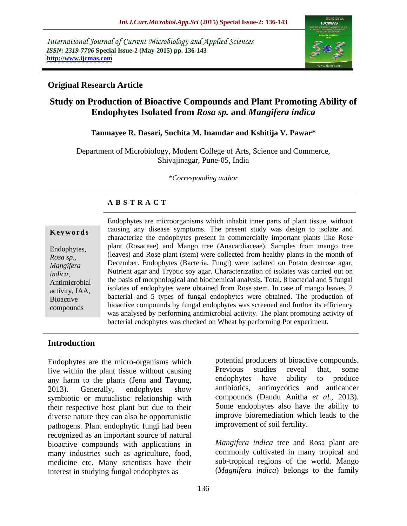International Journal of Current Microbiology and Applied Sciences *ISSN: 2319-7706* **Special Issue-2 (May-2015) pp. 136-143 <http://www.ijcmas.com>**



### **Original Research Article**

# **Study on Production of Bioactive Compounds and Plant Promoting Ability of Endophytes Isolated from** *Rosa sp.* **and** *Mangifera indica*

#### **Tanmayee R. Dasari, Suchita M. Inamdar and Kshitija V. Pawar\***

Department of Microbiology, Modern College of Arts, Science and Commerce, Shivajinagar, Pune-05, India

*\*Corresponding author*

# **A B S T R A C T**

*Rosa sp.*, compounds

Endophytes are microorganisms which inhabit inner parts of plant tissue, without **Keywords** causing any disease symptoms. The present study was design to isolate and characterize the endophytes present in commercially important plants like Rose Endophytes, plant (Rosaceae) and Mango tree (Anacardiaceae). Samples from mango tree (leaves) and Rose plant (stem) were collected from healthy plants in the month of December. Endophytes (Bacteria, Fungi) were isolated on Potato dextrose agar, *Mangifera*  Nutrient agar and Tryptic soy agar. Characterization of isolates was carried out on *indica*, **indically constructed** Supervisory and trypuc soy agar. Characterization of isolates was carried out on<br>Antimicrobial the basis of morphological and biochemical analysis. Total, 8 bacterial and 5 fungal activity, IAA, isolates of endophytes were obtained from Rose stem. In case of mango leaves, 2 bacterial and 5 types of fungal endophytes were obtained. The production of Bioactive bioactive compounds by fungal endophytes was screened and further its efficiency was analysed by performing antimicrobial activity. The plant promoting activity of bacterial endophytes was checked on Wheat by performing Pot experiment.

### **Introduction**

Endophytes are the micro-organisms which potential producers of bioactive compounds.<br>live within the plant tissue without causing Previous studies reveal that, some live within the plant tissue without causing<br>any harm to the plants (Jena and Tayung and Chapter endophytes have ability to produce any harm to the plants (Jena and Tayung, and endophytes have ability to produce 2013). Generally, endophytes show antibiotics, antimycotics and anticancer symbiotic or mutualistic relationship with their respective host plant but due to their diverse nature they can also be opportunistic pathogens. Plant endophytic fungi had been recognized as an important source of natural bioactive compounds with applications in many industries such as agriculture, food, medicine etc. Many scientists have their interest in studying fungal endophytes as

potential producers of bioactive compounds. Previous studies reveal that, some endophytes have ability to produce antibiotics, antimycotics and anticancer compounds (Dandu Anitha *et al.,* 2013). Some endophytes also have the ability to improve bioremediation which leads to the improvement of soil fertility.

*Mangifera indica* tree and Rosa plant are commonly cultivated in many tropical and sub-tropical regions of the world. Mango (*Magnifera indica*) belongs to the family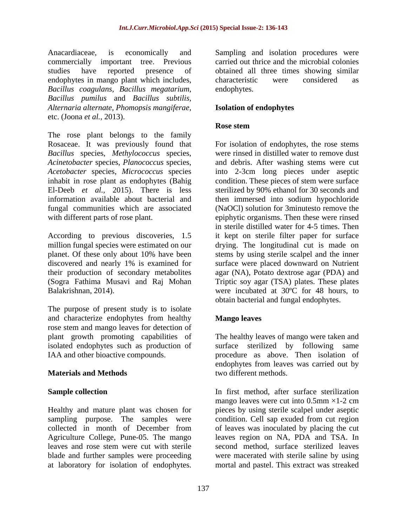endophytes in mango plant which includes, characteristic were considered as *Bacillus coagulans, Bacillus megatarium, Bacillus pumilus* and *Bacillus subtilis, Alternaria alternate, Phomopsis mangiferae,* etc. (Joona *et al.,* 2013).

The rose plant belongs to the family Rosaceae. It was previously found that For isolation of endophytes, the rose stems *Bacillus* species, *Methylococcus* species, *Acinetobacter* species, *Planococcus* species, *Acetobacter* species, *Micrococcus* species into 2-3cm long pieces under aseptic inhabit in rose plant as endophytes (Bahig condition. These pieces of stem were surface El-Deeb *et al.,* 2015). There is less sterilized by 90% ethanol for 30 seconds and information available about bacterial and then immersed into sodium hypochloride fungal communities which are associated

According to previous discoveries, 1.5 it kept on sterile filter paper for surface million fungal species were estimated on our drying. The longitudinal cut is made on planet. Of these only about 10% have been stems by using sterile scalpel and the inner discovered and nearly 1% is examined for surface were placed downward on Nutrient their production of secondary metabolites agar (NA), Potato dextrose agar (PDA) and (Sogra Fathima Musavi and Raj Mohan Triptic soy agar (TSA) plates. These plates Balakrishnan, 2014). Were incubated at 30°C for 48 hours, to

The purpose of present study is to isolate and characterize endophytes from healthy rose stem and mango leaves for detection of<br>plant growth promoting capabilities of plant growth promoting capabilities of The healthy leaves of mango were taken and isolated endophytes such as production of

# **Materials and Methods**

at laboratory for isolation of endophytes. mortal and pastel.This extract was streaked

Anacardiaceae, is economically and Sampling and isolation procedures were commercially important tree. Previous carried out thrice and the microbial colonies studies have reported presence of obtained all three times showing similar characteristic were considered as endophytes.

### **Isolation of endophytes**

### **Rose stem**

with different parts of rose plant. epiphytic organisms. Then these were rinsed were rinsed in distilled water to remove dust and debris. After washing stems were cut (NaOCl) solution for 3minutesto remove the in sterile distilled water for 4-5 times. Then obtain bacterial and fungal endophytes.

# **Mango leaves**

IAA and other bioactive compounds. procedure as above. Then isolation of surface sterilized by following same endophytes from leaves was carried out by two different methods.

**Sample collection** Healthy and mature plant was chosen for pieces by using sterile scalpel under aseptic sampling purpose. The samples were condition. Cell sap exuded from cut region collected in month of December from of leaves was inoculated by placing the cut Agriculture College, Pune-05. The mango leaves region on NA, PDA and TSA. In leaves and rose stem were cut with sterile second method, surface sterilized leaves blade and further samples were proceeding were macerated with sterile saline by using mango leaves were cut into  $0.5$ mm  $\times$ 1-2 cm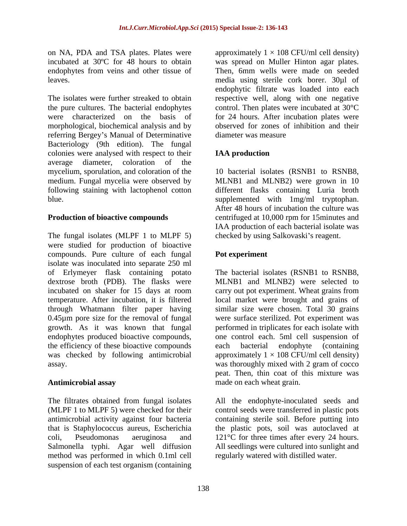endophytes from veins and other tissue of Then, 6mm wells were made on seeded

The isolates were further streaked to obtain respective well, along with one negative the pure cultures. The bacterial endophytes control. Then plates were incubated at 30°C were characterized on the basis of for 24 hours. After incubation plates were morphological, biochemical analysis and by referring Bergey's Manual of Determinative Bacteriology (9th edition). The fungal colonies were analysed with respect to their **IAA production** average diameter, coloration of the mycelium, sporulation, and coloration of the medium. Fungal mycelia were observed by medium. Fungal mycelia were observed by MLNB1 and MLNB2) were grown in 10 following staining with lactophenol cotton different flasks containing Luria broth

### **Production of bioactive compounds**

The fungal isolates (MLPF 1 to MLPF 5) were studied for production of bioactive compounds. Pure culture of each fungal isolate was inoculated into separate 250 ml of Erlymeyer flask containing potato dextrose broth (PDB). The flasks were MLNB1 and MLNB2) were selected to incubated on shaker for 15 days at room carry out pot experiment. Wheat grains from temperature. After incubation, it is filtered local market were brought and grains of through Whatmann filter paper having similar size were chosen. Total 30 grains 0.45µm pore size for the removal of fungal were surface sterilized. Pot experiment was growth. As it was known that fungal performed in triplicates for each isolate with endophytes produced bioactive compounds, one control each. 5ml cell suspension of the efficiency of these bioactive compounds each bacterial endophyte (containing was checked by following antimicrobial approximately  $1 \times 108$  CFU/ml cell density)

The filtrates obtained from fungal isolates All the endophyte-inoculated seeds and (MLPF 1 to MLPF 5) were checked for their control seeds were transferred in plastic pots antimicrobial activity against four bacteria that is Staphylococcus aureus, Escherichia the plastic pots, soil was autoclaved at coli, Pseudomonas aeruginosa and 121°C for three times after every 24 hours. Salmonella typhi. Agar well diffusion method was performed in which 0.1ml cell suspension of each test organism (containing

on NA, PDA and TSA plates. Plates were  $\qquad$  approximately  $1 \times 108$  CFU/ml cell density) incubated at 30ºC for 48 hours to obtain was spread on Muller Hinton agar plates. leaves. media using sterile cork borer. 30µl of Then, 6mm wells were made on seeded endophytic filtrate was loaded into each observed for zones of inhibition and their diameter was measure

# **IAA production**

blue. supplemented with 1mg/ml tryptophan. 10 bacterial isolates (RSNB1 to RSNB8, After 48 hours of incubation the culture was centrifuged at 10,000 rpm for 15minutes and IAA production of each bacterial isolate was checked by using Salkovaski's reagent.

### **Pot experiment**

assay. was thoroughly mixed with 2 gram of cocco **Antimicrobial assay** made on each wheat grain. The bacterial isolates (RSNB1 to RSNB8, each bacterial endophyte (containing peat. Then, thin coat of this mixture was made on each wheat grain.

> containing sterile soil. Before putting into All seedlings were cultured into sunlight and regularly watered with distilled water.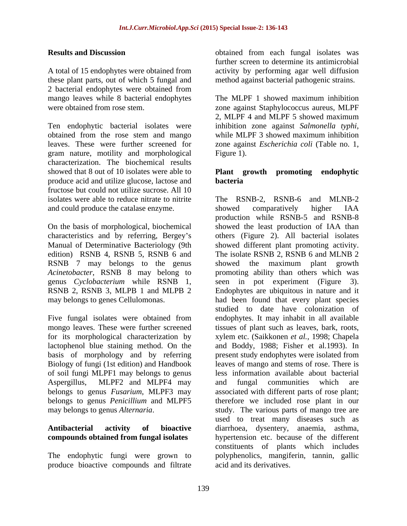A total of 15 endophytes were obtained from activity by performing agar well diffusion these plant parts, out of which 5 fungal and 2 bacterial endophytes were obtained from mango leaves while 8 bacterial endophytes The MLPF 1 showed maximum inhibition<br>were obtained from rose stem. The MLPF 2 space against Staphylococcus aureus. MLPF were obtained from rose stem. zone against Staphylococcus aureus, MLPF

Ten endophytic bacterial isolates were inhibition zone against Salmonella typhi, obtained from the rose stem and mango while MLPF 3 showed maximum inhibition leaves. These were further screened for zone against *Escherichia coli* (Table no. 1, gram nature, motility and morphological characterization. The biochemical results showed that 8 out of 10 isolates were able to **Plant growth promoting endophytic** produce acid and utilize glucose, lactose and fructose but could not utilize sucrose. All 10 isolates were able to reduce nitrate to nitrite and could produce the catalase enzyme. Showed comparatively higher IAA

*Acinetobacter*, RSNB 8 may belong to

mongo leaves. These were further screened issues of plant such as leaves, bark, roots, for its morphological characterization by vylem etc. (Saikkonen *et al.*, 1998; Chapela basis of morphology and by referring Biology of fungi (1st edition) and Handbook may belongs to genus *Alternaria*.

The endophytic fungi were grown to produce bioactive compounds and filtrate

**Results and Discussion** obtained from each fungal isolates was further screen to determine its antimicrobial method against bacterial pathogenic strains.

> The MLPF 1 showed maximum inhibition 2, MLPF 4 and MLPF 5 showed maximum inhibition zone against *Salmonella typhi*, while MLPF <sup>3</sup> showed maximum inhibition Figure 1).

# **bacteria**

isolates were able to reduce nitrate to nitrite The RSNB-2, RSNB-6 and MLNB-2 On the basis of morphological, biochemical showed the least production of IAA than characteristics and by referring, Bergey s others (Figure 2). All bacterial isolates Manual of Determinative Bacteriology (9th showed different plant promoting activity. edition) RSNB 4, RSNB 5, RSNB 6 and The isolate RSNB 2, RSNB 6 and MLNB 2 RSNB 7 may belongs to the genus showed the maximum plant growth genus *Cyclobacterium* while RSNB 1, seen in pot experiment (Figure 3). RSNB 2, RSNB 3, MLPB 1 and MLPB 2 Endophytes are ubiquitous in nature and it may belongs to genes Cellulomonas. had been found that every plant species Five fungal isolates were obtained from endophytes. It may inhabit in all available lactophenol blue staining method. On the and Boddy, 1988; Fisher et al.1993). In of soil fungi MLPF1 may belongs to genus less information available about bacterial Aspergillus, MLPF2 and MLPF4 may and fungal communities which are belongs to genus *Fusarium*, MLPF3 may associated with different parts of rose plant; belongs to genus *Penicillium* and MLPF5 therefore we included rose plant in our **Antibacterial activity of bioactive** diarrhoea, dysentery, anaemia, asthma, **compounds obtained from fungal isolates** hypertension etc. because of the different showed comparatively higher IAA production while RSNB-5 and RSNB-8 promoting ability than others which was studied to date have colonization of tissues of plant such as leaves, bark, roots,xylem etc. (Saikkonen *et al.,* 1998; Chapela present study endophytes were isolated from leaves of mango and stems of rose. There is and fungal communities which are study. The various parts of mango tree are used to treat many diseases such as constituents of plants which includes polyphenolics, mangiferin, tannin, gallic acid and its derivatives.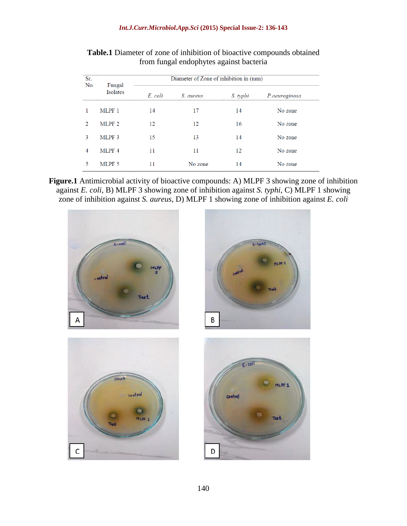| Sr.<br>No.     | Fungal<br><b>Isolates</b> | Diameter of Zone of inhibition in (mm) |           |          |               |
|----------------|---------------------------|----------------------------------------|-----------|----------|---------------|
|                |                           | E. coli                                | S. aureus | S. typhi | P.aeuroginosa |
| 1              | MLPF 1                    | 14                                     | 17        | 14       | No zone       |
| $\mathfrak{D}$ | MLPF <sub>2</sub>         | 12                                     | 12        | 16       | No zone       |
| 3              | MLPF <sub>3</sub>         | 15                                     | 13        | 14       | No zone       |
| $\overline{4}$ | MLPF 4                    | 11                                     | 11        | 12       | No zone       |
| 5              | MLPF 5                    | 11                                     | No zone   | 14       | No zone       |

**Table.1** Diameter of zone of inhibition of bioactive compounds obtained from fungal endophytes against bacteria

**Figure.1** Antimicrobial activity of bioactive compounds: A) MLPF 3 showing zone of inhibition against *E. coli*, B) MLPF 3 showing zone of inhibition against *S. typhi*, C) MLPF 1 showing zone of inhibition against *S. aureus*, D) MLPF 1 showing zone of inhibition against *E. coli*

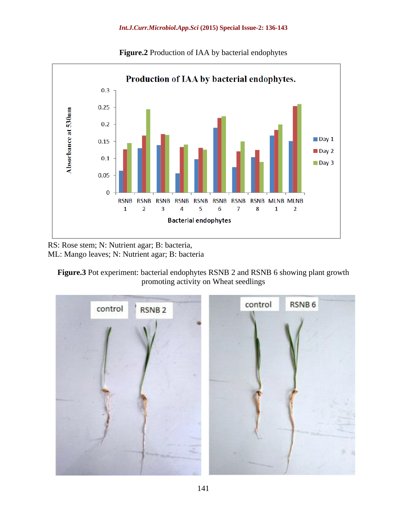

**Figure.2** Production of IAA by bacterial endophytes

RS: Rose stem; N: Nutrient agar; B: bacteria, ML: Mango leaves; N: Nutrient agar; B: bacteria

**Figure.3** Pot experiment: bacterial endophytes RSNB 2 and RSNB 6 showing plant growth promoting activity on Wheat seedlings

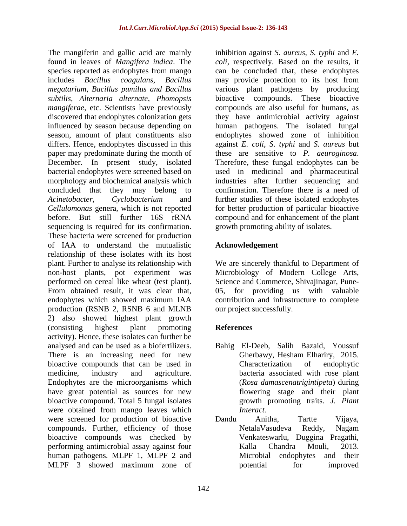The mangiferin and gallic acid are mainly inhibition against S. *aureus*, S. *typhi* and E. found in leaves of *Mangifera indica*. The species reported as endophytes from mango includes *Bacillus coagulans, Bacillus* may provide protection to its host from *megatarium, Bacillus pumilus and Bacillus* various plant pathogens by producing *subtilis, Alternaria alternate, Phomopsis mangiferae,* etc. Scientists have previously compounds are also useful for humans, as discovered that endophytes colonization gets they have antimicrobial activity against influenced by season because depending on human pathogens. The isolated fungal season, amount of plant constituents also endophytes showed zone of inhibition differs. Hence, endophytes discussed in this against *E. coli*, *S. typhi* and *S. aureus* but paper may predominate during the month of these are sensitive to P. aeuroginosa. December. In present study, isolated Therefore, these fungal endophytes can be bacterial endophytes were screened based on used in medicinal and pharmaceutical morphology and biochemical analysis which concluded that they may belong to confirmation. Therefore there is a need of *Acinetobacter, Cyclobacterium* and further studies of these isolated endophytes *Cellulomonas* genera, which is not reported forbetter production of particular bioactive before. But still further 16S rRNA compound and for enhancement of the plant sequencing is required for its confirmation. These bacteria were screened for production of IAA to understand the mutualistic relationship of these isolates with its host plant. Further to analyse its relationship with We are sincerely thankful to Department of non-host plants, pot experiment was Microbiology of Modern College Arts, performed on cereal like wheat (test plant). Science and Commerce, Shivajinagar, Pune- From obtained result, it was clear that, endophytes which showed maximum IAA contribution and infrastructure to complete production (RSNB 2, RSNB 6 and MLNB 2) also showed highest plant growth (consisting highest plant promoting **References** activity). Hence, these isolates can further be analysed and can be used as a biofertilizers. Bahig El-Deeb, Salih Bazaid, Youssuf There is an increasing need for new Gherbawy, Hesham Elhariry, 2015. bioactive compounds that can be used in Characterization of endophytic medicine, industry and agriculture. bacteria associated with rose plant Endophytes are the microorganisms which have great potential as sources for new bioactive compound. Total 5 fungal isolates were obtained from mango leaves which *Interact*. were screened for production of bioactive Dandu Anitha, Tartte Vijaya, compounds. Further, efficiency of those NetalaVasudeva Reddy, Nagam bioactive compounds was checked by performing antimicrobial assay against four<br>
Kalla Chandra Mouli, 2013. human pathogens. MLPF 1, MLPF 2 and Microbial endophytes and their MLPF 3 showed maximum zone of potential for improved

inhibition against *S. aureus*, *S. typhi* and *E. coli,* respectively. Based on the results, it can be concluded that, these endophytes bioactive compounds. These bioactive these are sensitive to *P. aeuroginosa*. Therefore, these fungal endophytes can be industries after further sequencing and growth promoting ability of isolates.

# **Acknowledgement**

05, for providing us with valuable our project successfully.

# **References**

- Gherbawy, Hesham Elhariry, 2015. Characterization of endophytic (*Rosa damascenatrigintipeta*) during flowering stage and their plant growth promoting traits. *J. Plant*
- *Interact.* Dandu Anitha, Tartte Vijaya, NetalaVasudeva Reddy, Nagam Venkateswarlu, Duggina Pragathi, Kalla Chandra Mouli, 2013. Microbial endophytes and their potential for improved